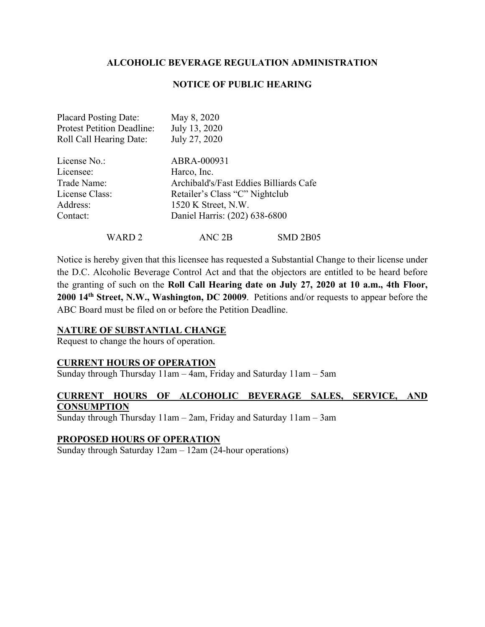## **NOTICE OF PUBLIC HEARING**

| <b>Placard Posting Date:</b><br><b>Protest Petition Deadline:</b> | May 8, 2020<br>July 13, 2020                                             |          |
|-------------------------------------------------------------------|--------------------------------------------------------------------------|----------|
| Roll Call Hearing Date:                                           | July 27, 2020                                                            |          |
| License No.:                                                      | ABRA-000931                                                              |          |
| Licensee:                                                         | Harco, Inc.                                                              |          |
| Trade Name:                                                       | Archibald's/Fast Eddies Billiards Cafe<br>Retailer's Class "C" Nightclub |          |
| License Class:                                                    |                                                                          |          |
| Address:                                                          | 1520 K Street, N.W.                                                      |          |
| Contact:                                                          | Daniel Harris: (202) 638-6800                                            |          |
| WARD 2                                                            | ANC 2B                                                                   | SMD 2B05 |

Notice is hereby given that this licensee has requested a Substantial Change to their license under the D.C. Alcoholic Beverage Control Act and that the objectors are entitled to be heard before the granting of such on the **Roll Call Hearing date on July 27, 2020 at 10 a.m., 4th Floor, 2000 14th Street, N.W., Washington, DC 20009**. Petitions and/or requests to appear before the ABC Board must be filed on or before the Petition Deadline.

#### **NATURE OF SUBSTANTIAL CHANGE**

Request to change the hours of operation.

## **CURRENT HOURS OF OPERATION**

Sunday through Thursday 11am – 4am, Friday and Saturday 11am – 5am

## **CURRENT HOURS OF ALCOHOLIC BEVERAGE SALES, SERVICE, AND CONSUMPTION**

Sunday through Thursday 11am – 2am, Friday and Saturday 11am – 3am

#### **PROPOSED HOURS OF OPERATION**

Sunday through Saturday 12am – 12am (24-hour operations)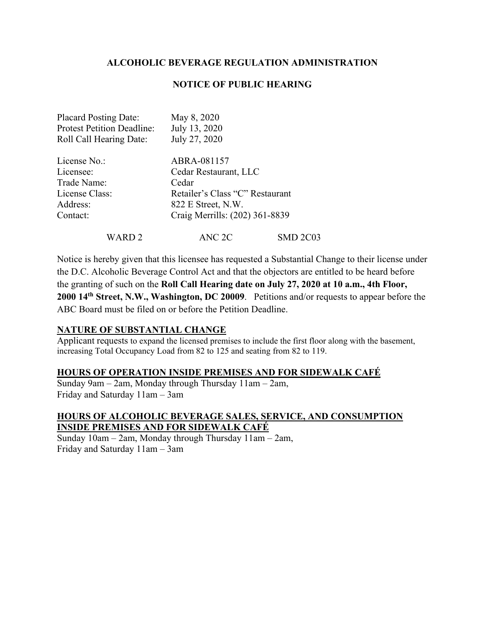## **NOTICE OF PUBLIC HEARING**

| <b>Placard Posting Date:</b>      | May 8, 2020                     |                 |
|-----------------------------------|---------------------------------|-----------------|
| <b>Protest Petition Deadline:</b> | July 13, 2020                   |                 |
| <b>Roll Call Hearing Date:</b>    | July 27, 2020                   |                 |
| License No.:                      | ABRA-081157                     |                 |
| Licensee:                         | Cedar Restaurant, LLC           |                 |
| Trade Name:                       | Cedar                           |                 |
| License Class:                    | Retailer's Class "C" Restaurant |                 |
| Address:                          | 822 E Street, N.W.              |                 |
| Contact:                          | Craig Merrills: (202) 361-8839  |                 |
| WARD 2                            | ANC 2C                          | <b>SMD 2C03</b> |

Notice is hereby given that this licensee has requested a Substantial Change to their license under the D.C. Alcoholic Beverage Control Act and that the objectors are entitled to be heard before the granting of such on the **Roll Call Hearing date on July 27, 2020 at 10 a.m., 4th Floor, 2000 14th Street, N.W., Washington, DC 20009**. Petitions and/or requests to appear before the ABC Board must be filed on or before the Petition Deadline.

#### **NATURE OF SUBSTANTIAL CHANGE**

Applicant requests to expand the licensed premises to include the first floor along with the basement, increasing Total Occupancy Load from 82 to 125 and seating from 82 to 119.

#### **HOURS OF OPERATION INSIDE PREMISES AND FOR SIDEWALK CAFÉ**

Sunday 9am – 2am, Monday through Thursday 11am – 2am, Friday and Saturday 11am – 3am

# **HOURS OF ALCOHOLIC BEVERAGE SALES, SERVICE, AND CONSUMPTION INSIDE PREMISES AND FOR SIDEWALK CAFÉ**

Sunday 10am – 2am, Monday through Thursday 11am – 2am, Friday and Saturday 11am – 3am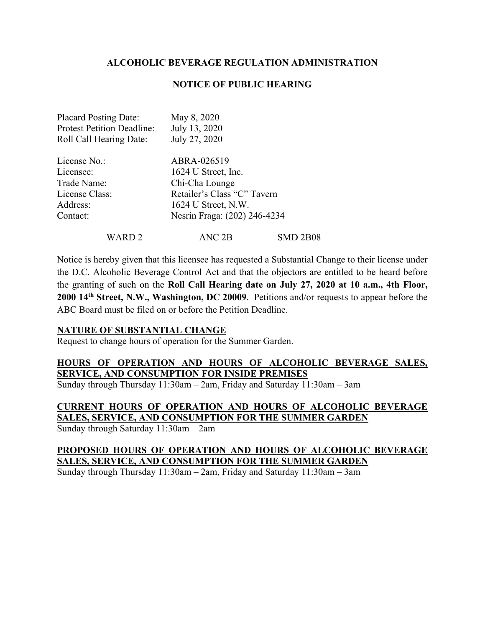#### **NOTICE OF PUBLIC HEARING**

| <b>Placard Posting Date:</b><br><b>Protest Petition Deadline:</b><br><b>Roll Call Hearing Date:</b> | May 8, 2020<br>July 13, 2020<br>July 27, 2020 |                 |
|-----------------------------------------------------------------------------------------------------|-----------------------------------------------|-----------------|
| License No.:                                                                                        | ABRA-026519                                   |                 |
| Licensee:                                                                                           | 1624 U Street, Inc.                           |                 |
| Trade Name:                                                                                         | Chi-Cha Lounge                                |                 |
| License Class:                                                                                      | Retailer's Class "C" Tavern                   |                 |
| Address:                                                                                            | 1624 U Street, N.W.                           |                 |
| Contact:                                                                                            | Nesrin Fraga: (202) 246-4234                  |                 |
| WARD 2                                                                                              | ANC 2B                                        | <b>SMD 2B08</b> |

Notice is hereby given that this licensee has requested a Substantial Change to their license under the D.C. Alcoholic Beverage Control Act and that the objectors are entitled to be heard before the granting of such on the **Roll Call Hearing date on July 27, 2020 at 10 a.m., 4th Floor, 2000 14th Street, N.W., Washington, DC 20009**. Petitions and/or requests to appear before the ABC Board must be filed on or before the Petition Deadline.

#### **NATURE OF SUBSTANTIAL CHANGE**

Request to change hours of operation for the Summer Garden.

# **HOURS OF OPERATION AND HOURS OF ALCOHOLIC BEVERAGE SALES, SERVICE, AND CONSUMPTION FOR INSIDE PREMISES**

Sunday through Thursday 11:30am – 2am, Friday and Saturday 11:30am – 3am

# **CURRENT HOURS OF OPERATION AND HOURS OF ALCOHOLIC BEVERAGE SALES, SERVICE, AND CONSUMPTION FOR THE SUMMER GARDEN**

Sunday through Saturday 11:30am – 2am

# **PROPOSED HOURS OF OPERATION AND HOURS OF ALCOHOLIC BEVERAGE SALES, SERVICE, AND CONSUMPTION FOR THE SUMMER GARDEN**

Sunday through Thursday 11:30am – 2am, Friday and Saturday 11:30am – 3am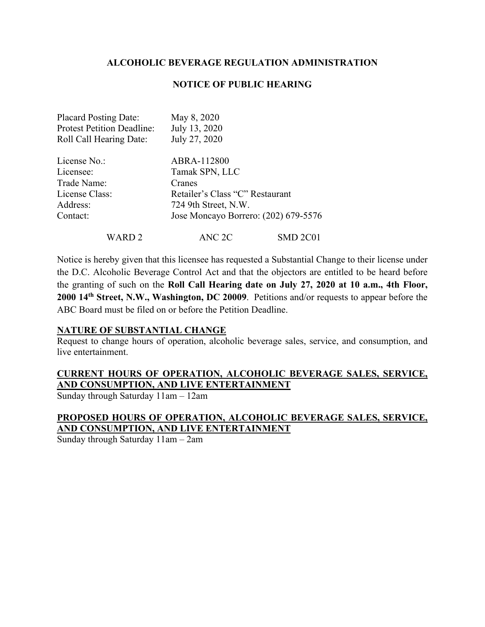## **NOTICE OF PUBLIC HEARING**

| <b>Placard Posting Date:</b>      | May 8, 2020                          |          |
|-----------------------------------|--------------------------------------|----------|
| <b>Protest Petition Deadline:</b> | July 13, 2020                        |          |
| <b>Roll Call Hearing Date:</b>    | July 27, 2020                        |          |
| License No.:                      | ABRA-112800                          |          |
| Licensee:                         | Tamak SPN, LLC                       |          |
| Trade Name:                       | Cranes                               |          |
| License Class:                    | Retailer's Class "C" Restaurant      |          |
| Address:                          | 724 9th Street, N.W.                 |          |
| Contact:                          | Jose Moncayo Borrero: (202) 679-5576 |          |
| WARD 2                            | ANC 2C                               | SMD 2C01 |

Notice is hereby given that this licensee has requested a Substantial Change to their license under the D.C. Alcoholic Beverage Control Act and that the objectors are entitled to be heard before the granting of such on the **Roll Call Hearing date on July 27, 2020 at 10 a.m., 4th Floor, 2000 14th Street, N.W., Washington, DC 20009**. Petitions and/or requests to appear before the ABC Board must be filed on or before the Petition Deadline.

#### **NATURE OF SUBSTANTIAL CHANGE**

Request to change hours of operation, alcoholic beverage sales, service, and consumption, and live entertainment.

# **CURRENT HOURS OF OPERATION, ALCOHOLIC BEVERAGE SALES, SERVICE, AND CONSUMPTION, AND LIVE ENTERTAINMENT**

Sunday through Saturday 11am – 12am

# **PROPOSED HOURS OF OPERATION, ALCOHOLIC BEVERAGE SALES, SERVICE, AND CONSUMPTION, AND LIVE ENTERTAINMENT**

Sunday through Saturday 11am – 2am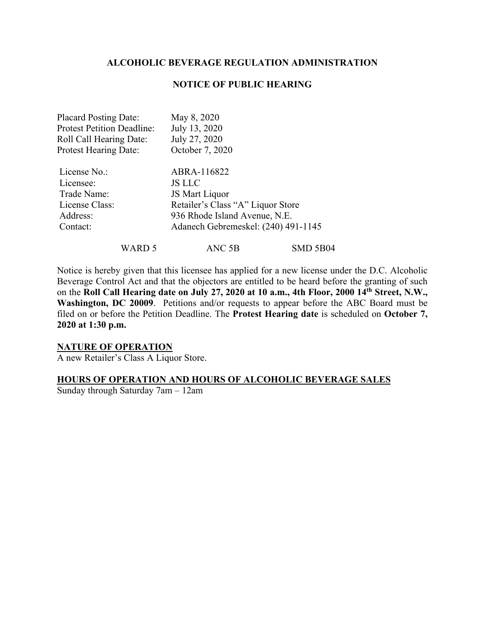#### **NOTICE OF PUBLIC HEARING**

| <b>Placard Posting Date:</b>      | May 8, 2020                         |
|-----------------------------------|-------------------------------------|
| <b>Protest Petition Deadline:</b> | July 13, 2020                       |
| <b>Roll Call Hearing Date:</b>    | July 27, 2020                       |
| <b>Protest Hearing Date:</b>      | October 7, 2020                     |
| License No.:                      | ABRA-116822                         |
| Licensee:                         | <b>JS LLC</b>                       |
| Trade Name:                       | JS Mart Liquor                      |
| License Class:                    | Retailer's Class "A" Liquor Store   |
| Address:                          | 936 Rhode Island Avenue, N.E.       |
| Contact:                          | Adanech Gebremeskel: (240) 491-1145 |
|                                   |                                     |

WARD 5 ANC 5B SMD 5B04

Notice is hereby given that this licensee has applied for a new license under the D.C. Alcoholic Beverage Control Act and that the objectors are entitled to be heard before the granting of such on the **Roll Call Hearing date on July 27, 2020 at 10 a.m., 4th Floor, 2000 14th Street, N.W., Washington, DC 20009**. Petitions and/or requests to appear before the ABC Board must be filed on or before the Petition Deadline. The **Protest Hearing date** is scheduled on **October 7, 2020 at 1:30 p.m.**

# **NATURE OF OPERATION**

A new Retailer's Class A Liquor Store.

#### **HOURS OF OPERATION AND HOURS OF ALCOHOLIC BEVERAGE SALES**

Sunday through Saturday 7am – 12am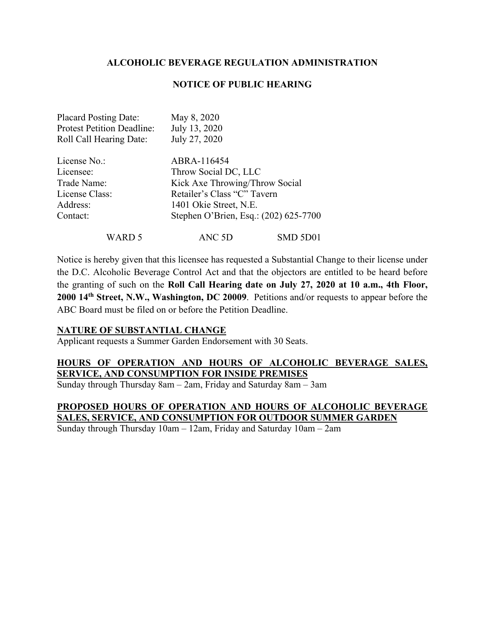## **NOTICE OF PUBLIC HEARING**

| <b>Placard Posting Date:</b>      | May 8, 2020                           |          |
|-----------------------------------|---------------------------------------|----------|
| <b>Protest Petition Deadline:</b> | July 13, 2020                         |          |
| Roll Call Hearing Date:           | July 27, 2020                         |          |
| License No.:                      | ABRA-116454                           |          |
| Licensee:                         | Throw Social DC, LLC                  |          |
| Trade Name:                       | Kick Axe Throwing/Throw Social        |          |
| License Class:                    | Retailer's Class "C" Tavern           |          |
| Address:                          | 1401 Okie Street, N.E.                |          |
| Contact:                          | Stephen O'Brien, Esq.: (202) 625-7700 |          |
| WARD 5                            | ANC 5D                                | SMD 5D01 |

Notice is hereby given that this licensee has requested a Substantial Change to their license under the D.C. Alcoholic Beverage Control Act and that the objectors are entitled to be heard before the granting of such on the **Roll Call Hearing date on July 27, 2020 at 10 a.m., 4th Floor, 2000 14th Street, N.W., Washington, DC 20009**. Petitions and/or requests to appear before the ABC Board must be filed on or before the Petition Deadline.

#### **NATURE OF SUBSTANTIAL CHANGE**

Applicant requests a Summer Garden Endorsement with 30 Seats.

# **HOURS OF OPERATION AND HOURS OF ALCOHOLIC BEVERAGE SALES, SERVICE, AND CONSUMPTION FOR INSIDE PREMISES**

Sunday through Thursday 8am – 2am, Friday and Saturday 8am – 3am

# **PROPOSED HOURS OF OPERATION AND HOURS OF ALCOHOLIC BEVERAGE SALES, SERVICE, AND CONSUMPTION FOR OUTDOOR SUMMER GARDEN**

Sunday through Thursday 10am – 12am, Friday and Saturday 10am – 2am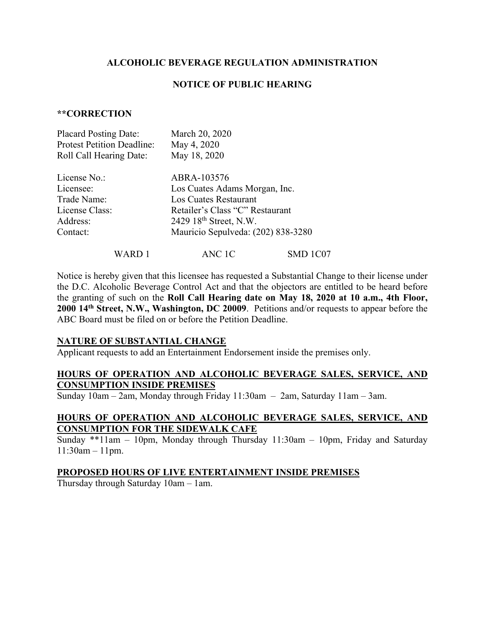#### **NOTICE OF PUBLIC HEARING**

#### **\*\*CORRECTION**

| <b>Placard Posting Date:</b>      | March 20, 2020                     |
|-----------------------------------|------------------------------------|
| <b>Protest Petition Deadline:</b> | May 4, 2020                        |
| Roll Call Hearing Date:           | May 18, 2020                       |
| License No.:                      | ABRA-103576                        |
| Licensee:                         | Los Cuates Adams Morgan, Inc.      |
| Trade Name:                       | Los Cuates Restaurant              |
| License Class:                    | Retailer's Class "C" Restaurant    |
| Address:                          | 2429 18 <sup>th</sup> Street, N.W. |
| Contact:                          | Mauricio Sepulveda: (202) 838-3280 |
|                                   |                                    |

WARD 1 ANC 1C SMD 1C07

Notice is hereby given that this licensee has requested a Substantial Change to their license under the D.C. Alcoholic Beverage Control Act and that the objectors are entitled to be heard before the granting of such on the **Roll Call Hearing date on May 18, 2020 at 10 a.m., 4th Floor, 2000 14th Street, N.W., Washington, DC 20009**. Petitions and/or requests to appear before the ABC Board must be filed on or before the Petition Deadline.

#### **NATURE OF SUBSTANTIAL CHANGE**

Applicant requests to add an Entertainment Endorsement inside the premises only.

## **HOURS OF OPERATION AND ALCOHOLIC BEVERAGE SALES, SERVICE, AND CONSUMPTION INSIDE PREMISES**

Sunday 10am – 2am, Monday through Friday 11:30am – 2am, Saturday 11am – 3am.

## **HOURS OF OPERATION AND ALCOHOLIC BEVERAGE SALES, SERVICE, AND CONSUMPTION FOR THE SIDEWALK CAFE**

Sunday \*\*11am – 10pm, Monday through Thursday 11:30am – 10pm, Friday and Saturday 11:30am – 11pm.

#### **PROPOSED HOURS OF LIVE ENTERTAINMENT INSIDE PREMISES**

Thursday through Saturday 10am – 1am.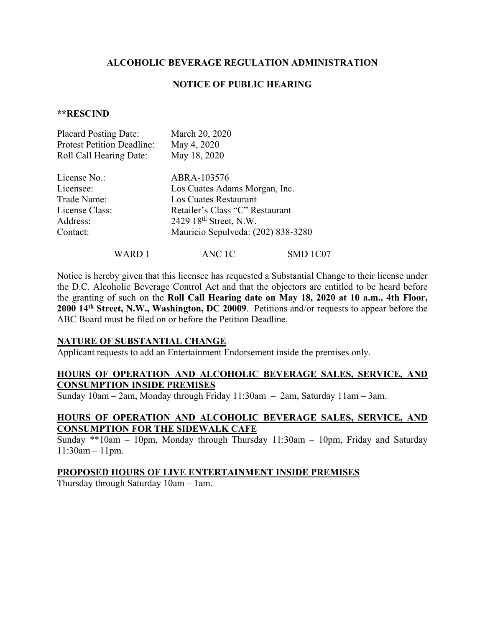#### **NOTICE OF PUBLIC HEARING**

#### **\*\*RESCIND**

| <b>Placard Posting Date:</b>      | March 20, 2020                     |
|-----------------------------------|------------------------------------|
| <b>Protest Petition Deadline:</b> | May 4, 2020                        |
| Roll Call Hearing Date:           | May 18, 2020                       |
| License No.:                      | ABRA-103576                        |
| Licensee:                         | Los Cuates Adams Morgan, Inc.      |
| Trade Name:                       | Los Cuates Restaurant              |
| License Class:                    | Retailer's Class "C" Restaurant    |
| Address:                          | 2429 18 <sup>th</sup> Street, N.W. |
| Contact:                          | Mauricio Sepulveda: (202) 838-3280 |
|                                   |                                    |

WARD 1 ANC 1C SMD 1C07

Notice is hereby given that this licensee has requested a Substantial Change to their license under the D.C. Alcoholic Beverage Control Act and that the objectors are entitled to be heard before the granting of such on the **Roll Call Hearing date on May 18, 2020 at 10 a.m., 4th Floor, 2000 14th Street, N.W., Washington, DC 20009**. Petitions and/or requests to appear before the ABC Board must be filed on or before the Petition Deadline.

#### **NATURE OF SUBSTANTIAL CHANGE**

Applicant requests to add an Entertainment Endorsement inside the premises only.

## **HOURS OF OPERATION AND ALCOHOLIC BEVERAGE SALES, SERVICE, AND CONSUMPTION INSIDE PREMISES**

Sunday 10am – 2am, Monday through Friday 11:30am – 2am, Saturday 11am – 3am.

## **HOURS OF OPERATION AND ALCOHOLIC BEVERAGE SALES, SERVICE, AND CONSUMPTION FOR THE SIDEWALK CAFE**

Sunday \*\*10am – 10pm, Monday through Thursday 11:30am – 10pm, Friday and Saturday 11:30am – 11pm.

#### **PROPOSED HOURS OF LIVE ENTERTAINMENT INSIDE PREMISES**

Thursday through Saturday 10am – 1am.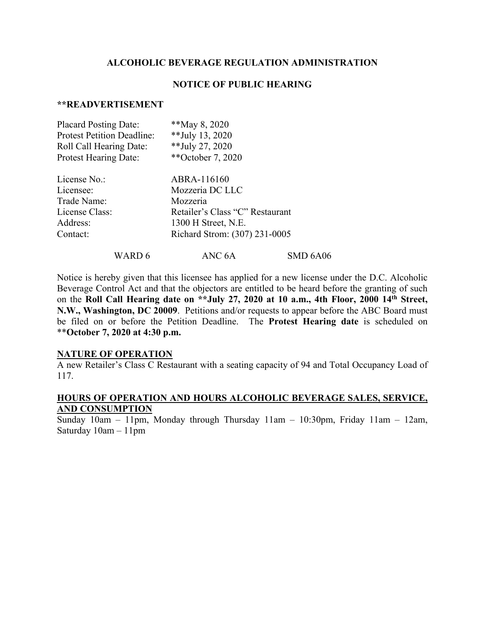#### **NOTICE OF PUBLIC HEARING**

#### **\*\*READVERTISEMENT**

| <b>Placard Posting Date:</b>      | **May 8, 2020                   |
|-----------------------------------|---------------------------------|
| <b>Protest Petition Deadline:</b> | **July 13, 2020                 |
| Roll Call Hearing Date:           | ** July 27, 2020                |
| <b>Protest Hearing Date:</b>      | **October 7, 2020               |
| License No.:                      | ABRA-116160                     |
| Licensee:                         | Mozzeria DC LLC                 |
| Trade Name:                       | Mozzeria                        |
| License Class:                    | Retailer's Class "C" Restaurant |
| Address:                          | 1300 H Street, N.E.             |
| Contact:                          | Richard Strom: (307) 231-0005   |
|                                   |                                 |

Notice is hereby given that this licensee has applied for a new license under the D.C. Alcoholic Beverage Control Act and that the objectors are entitled to be heard before the granting of such on the **Roll Call Hearing date on \*\*July 27, 2020 at 10 a.m., 4th Floor, 2000 14th Street, N.W., Washington, DC 20009**. Petitions and/or requests to appear before the ABC Board must be filed on or before the Petition Deadline. The **Protest Hearing date** is scheduled on \*\***October 7, 2020 at 4:30 p.m.**

WARD 6 ANC 6A SMD 6A06

#### **NATURE OF OPERATION**

A new Retailer's Class C Restaurant with a seating capacity of 94 and Total Occupancy Load of 117.

#### **HOURS OF OPERATION AND HOURS ALCOHOLIC BEVERAGE SALES, SERVICE, AND CONSUMPTION**

Sunday 10am – 11pm, Monday through Thursday 11am – 10:30pm, Friday 11am – 12am, Saturday 10am – 11pm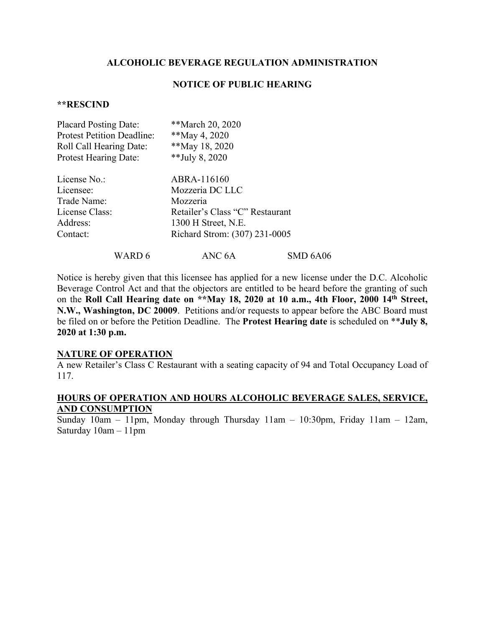#### **NOTICE OF PUBLIC HEARING**

#### **\*\*RESCIND**

| <b>Placard Posting Date:</b>      | **March 20, 2020                |
|-----------------------------------|---------------------------------|
| <b>Protest Petition Deadline:</b> | **May 4, 2020                   |
| Roll Call Hearing Date:           | **May 18, 2020                  |
| <b>Protest Hearing Date:</b>      | **July 8, 2020                  |
| License No.:                      | ABRA-116160                     |
| Licensee:                         | Mozzeria DC LLC                 |
| Trade Name:                       | Mozzeria                        |
| License Class:                    | Retailer's Class "C" Restaurant |
| Address:                          | 1300 H Street, N.E.             |
| Contact:                          | Richard Strom: (307) 231-0005   |
|                                   |                                 |

Notice is hereby given that this licensee has applied for a new license under the D.C. Alcoholic Beverage Control Act and that the objectors are entitled to be heard before the granting of such on the **Roll Call Hearing date on \*\*May 18, 2020 at 10 a.m., 4th Floor, 2000 14th Street, N.W., Washington, DC 20009**. Petitions and/or requests to appear before the ABC Board must be filed on or before the Petition Deadline. The **Protest Hearing date** is scheduled on \*\***July 8, 2020 at 1:30 p.m.**

WARD 6 ANC 6A SMD 6A06

#### **NATURE OF OPERATION**

A new Retailer's Class C Restaurant with a seating capacity of 94 and Total Occupancy Load of 117.

#### **HOURS OF OPERATION AND HOURS ALCOHOLIC BEVERAGE SALES, SERVICE, AND CONSUMPTION**

Sunday 10am – 11pm, Monday through Thursday 11am – 10:30pm, Friday 11am – 12am, Saturday 10am – 11pm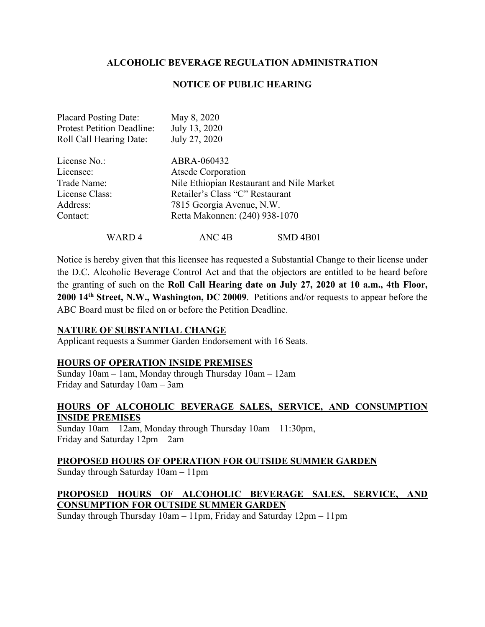## **NOTICE OF PUBLIC HEARING**

| <b>Placard Posting Date:</b><br><b>Protest Petition Deadline:</b><br>Roll Call Hearing Date: | May 8, 2020<br>July 13, 2020<br>July 27, 2020                                                                                                                                           |                 |
|----------------------------------------------------------------------------------------------|-----------------------------------------------------------------------------------------------------------------------------------------------------------------------------------------|-----------------|
| License No.:<br>Licensee:<br>Trade Name:<br>License Class:<br>Address:<br>Contact:           | ABRA-060432<br><b>Atsede Corporation</b><br>Nile Ethiopian Restaurant and Nile Market<br>Retailer's Class "C" Restaurant<br>7815 Georgia Avenue, N.W.<br>Retta Makonnen: (240) 938-1070 |                 |
| WARD 4                                                                                       | ANC 4B                                                                                                                                                                                  | <b>SMD 4B01</b> |

Notice is hereby given that this licensee has requested a Substantial Change to their license under the D.C. Alcoholic Beverage Control Act and that the objectors are entitled to be heard before the granting of such on the **Roll Call Hearing date on July 27, 2020 at 10 a.m., 4th Floor, 2000 14th Street, N.W., Washington, DC 20009**. Petitions and/or requests to appear before the ABC Board must be filed on or before the Petition Deadline.

#### **NATURE OF SUBSTANTIAL CHANGE**

Applicant requests a Summer Garden Endorsement with 16 Seats.

#### **HOURS OF OPERATION INSIDE PREMISES**

Sunday 10am – 1am, Monday through Thursday 10am – 12am Friday and Saturday 10am – 3am

## **HOURS OF ALCOHOLIC BEVERAGE SALES, SERVICE, AND CONSUMPTION INSIDE PREMISES**

Sunday 10am – 12am, Monday through Thursday 10am – 11:30pm, Friday and Saturday 12pm – 2am

# **PROPOSED HOURS OF OPERATION FOR OUTSIDE SUMMER GARDEN**

Sunday through Saturday 10am – 11pm

# **PROPOSED HOURS OF ALCOHOLIC BEVERAGE SALES, SERVICE, AND CONSUMPTION FOR OUTSIDE SUMMER GARDEN**

Sunday through Thursday 10am – 11pm, Friday and Saturday 12pm – 11pm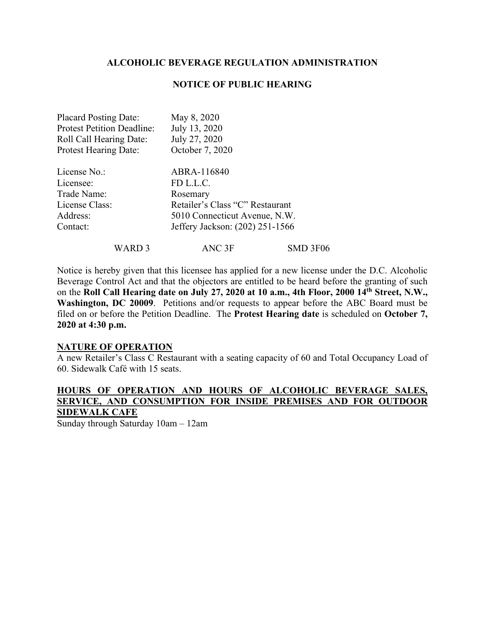#### **NOTICE OF PUBLIC HEARING**

| <b>Placard Posting Date:</b>      | May 8, 2020                     |
|-----------------------------------|---------------------------------|
| <b>Protest Petition Deadline:</b> | July 13, 2020                   |
| Roll Call Hearing Date:           | July 27, 2020                   |
| <b>Protest Hearing Date:</b>      | October 7, 2020                 |
| License No.:                      | ABRA-116840                     |
| Licensee:                         | FD L.L.C.                       |
| Trade Name:                       | Rosemary                        |
| License Class:                    | Retailer's Class "C" Restaurant |
| Address:                          | 5010 Connecticut Avenue, N.W.   |
| Contact:                          | Jeffery Jackson: (202) 251-1566 |

WARD 3 ANC 3F SMD 3F06

Notice is hereby given that this licensee has applied for a new license under the D.C. Alcoholic Beverage Control Act and that the objectors are entitled to be heard before the granting of such on the **Roll Call Hearing date on July 27, 2020 at 10 a.m., 4th Floor, 2000 14th Street, N.W., Washington, DC 20009**. Petitions and/or requests to appear before the ABC Board must be filed on or before the Petition Deadline. The **Protest Hearing date** is scheduled on **October 7, 2020 at 4:30 p.m.**

#### **NATURE OF OPERATION**

A new Retailer's Class C Restaurant with a seating capacity of 60 and Total Occupancy Load of 60. Sidewalk Café with 15 seats.

## **HOURS OF OPERATION AND HOURS OF ALCOHOLIC BEVERAGE SALES, SERVICE, AND CONSUMPTION FOR INSIDE PREMISES AND FOR OUTDOOR SIDEWALK CAFE**

Sunday through Saturday 10am – 12am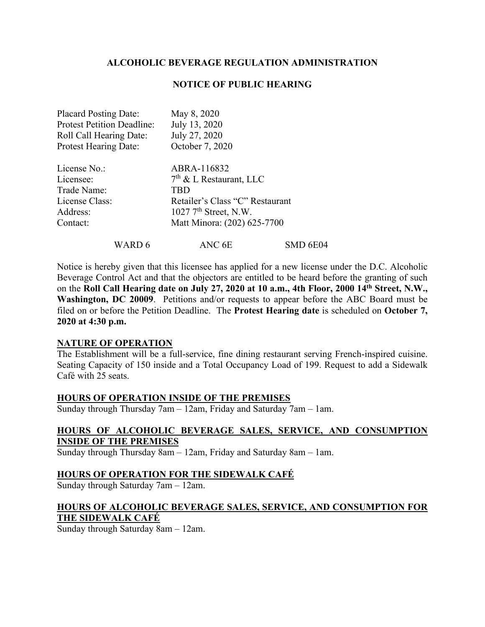#### **NOTICE OF PUBLIC HEARING**

| <b>Placard Posting Date:</b>      | May 8, 2020                         |
|-----------------------------------|-------------------------------------|
| <b>Protest Petition Deadline:</b> | July 13, 2020                       |
| Roll Call Hearing Date:           | July 27, 2020                       |
| <b>Protest Hearing Date:</b>      | October 7, 2020                     |
| License No.:                      | ABRA-116832                         |
| Licensee:                         | $7th$ & L Restaurant, LLC           |
| Trade Name:                       | TBD                                 |
| License Class:                    | Retailer's Class "C" Restaurant     |
| Address:                          | $1027$ 7 <sup>th</sup> Street, N.W. |
| Contact:                          | Matt Minora: (202) 625-7700         |
|                                   |                                     |

WARD 6 ANC 6E SMD 6E04

Notice is hereby given that this licensee has applied for a new license under the D.C. Alcoholic Beverage Control Act and that the objectors are entitled to be heard before the granting of such on the **Roll Call Hearing date on July 27, 2020 at 10 a.m., 4th Floor, 2000 14th Street, N.W., Washington, DC 20009**. Petitions and/or requests to appear before the ABC Board must be filed on or before the Petition Deadline. The **Protest Hearing date** is scheduled on **October 7, 2020 at 4:30 p.m.**

#### **NATURE OF OPERATION**

The Establishment will be a full-service, fine dining restaurant serving French-inspired cuisine. Seating Capacity of 150 inside and a Total Occupancy Load of 199. Request to add a Sidewalk Café with 25 seats.

#### **HOURS OF OPERATION INSIDE OF THE PREMISES**

Sunday through Thursday 7am – 12am, Friday and Saturday 7am – 1am.

## **HOURS OF ALCOHOLIC BEVERAGE SALES, SERVICE, AND CONSUMPTION INSIDE OF THE PREMISES**

Sunday through Thursday 8am – 12am, Friday and Saturday 8am – 1am.

#### **HOURS OF OPERATION FOR THE SIDEWALK CAFÉ**

Sunday through Saturday 7am – 12am.

# **HOURS OF ALCOHOLIC BEVERAGE SALES, SERVICE, AND CONSUMPTION FOR THE SIDEWALK CAFÉ**

Sunday through Saturday 8am – 12am.